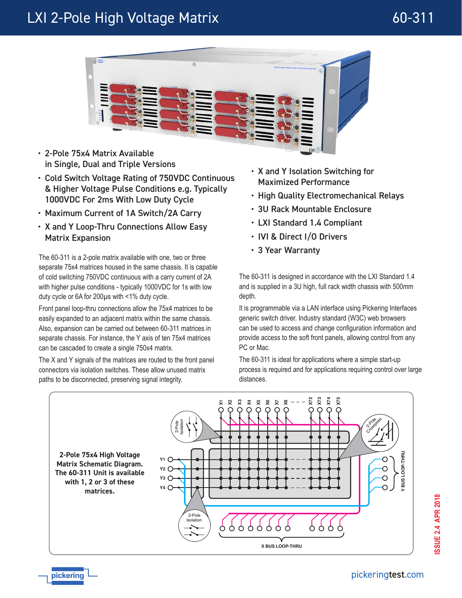# LXI 2-Pole High Voltage Matrix and a metal control of 60-311



- 2-Pole 75x4 Matrix Available in Single, Dual and Triple Versions
- Cold Switch Voltage Rating of 750VDC Continuous & Higher Voltage Pulse Conditions e.g. Typically 1000VDC For 2ms With Low Duty Cycle
- Maximum Current of 1A Switch/2A Carry
- X and Y Loop-Thru Connections Allow Easy Matrix Expansion

**Fig. 2** The 60-311 is a 2-pole matrix available with one, two or three **3 Year Warranty** separate 75x4 matrices housed in the same chassis. It is capable of cold switching 750VDC continuous with a carry current of 2A with higher pulse conditions - typically 1000VDC for 1s with low duty cycle or 6A for 200µs with <1% duty cycle.

Front panel loop-thru connections allow the 75x4 matrices to be easily expanded to an adjacent matrix within the same chassis. Also, expansion can be carried out between 60-311 matrices in separate chassis. For instance, the Y axis of ten 75x4 matrices can be cascaded to create a single 750x4 matrix.

The X and Y signals of the matrices are routed to the front panel connectors via isolation switches. These allow unused matrix paths to be disconnected, preserving signal integrity.

- X and Y Isolation Switching for Maximized Performance
- High Quality Electromechanical Relays
- 3U Rack Mountable Enclosure
- LXI Standard 1.4 Compliant
- IVI & Direct I/O Drivers
- 

The 60-311 is designed in accordance with the LXI Standard 1.4 and is supplied in a 3U high, full rack width chassis with 500mm depth.

It is programmable via a LAN interface using Pickering Interfaces generic switch driver. Industry standard (W3C) web browsers can be used to access and change configuration information and provide access to the soft front panels, allowing control from any PC or Mac.

The 60-311 is ideal for applications where a simple start-up process is required and for applications requiring control over large distances.



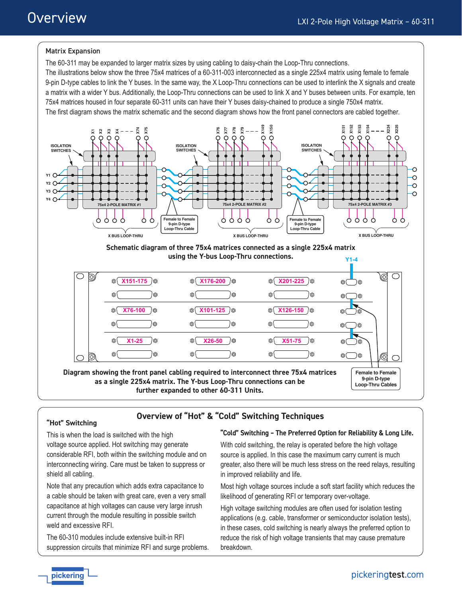# Overview

### Matrix Expansion

The 60-311 may be expanded to larger matrix sizes by using cabling to daisy-chain the Loop-Thru connections. The illustrations below show the three 75x4 matrices of a 60-311-003 interconnected as a single 225x4 matrix using female to female 9-pin D-type cables to link the Y buses. In the same way, the X Loop-Thru connections can be used to interlink the X signals and create a matrix with a wider Y bus. Additionally, the Loop-Thru connections can be used to link X and Y buses between units. For example, ten 75x4 matrices housed in four separate 60-311 units can have their Y buses daisy-chained to produce a single 750x4 matrix. The first diagram shows the matrix schematic and the second diagram shows how the front panel connectors are cabled together.







### **"Hot" Switching**

# **Overview of "Hot" & "Cold" Switching Techniques**

This is when the load is switched with the high voltage source applied. Hot switching may generate considerable RFI, both within the switching module and on interconnecting wiring. Care must be taken to suppress or shield all cabling.

Note that any precaution which adds extra capacitance to a cable should be taken with great care, even a very small capacitance at high voltages can cause very large inrush current through the module resulting in possible switch weld and excessive RFI.

The 60-310 modules include extensive built-in RFI suppression circuits that minimize RFI and surge problems.

#### **"Cold" Switching – The Preferred Option for Reliability & Long Life.**

With cold switching, the relay is operated before the high voltage source is applied. In this case the maximum carry current is much greater, also there will be much less stress on the reed relays, resulting in improved reliability and life.

Most high voltage sources include a soft start facility which reduces the likelihood of generating RFI or temporary over-voltage.

High voltage switching modules are often used for isolation testing applications (e.g. cable, transformer or semiconductor isolation tests), in these cases, cold switching is nearly always the preferred option to reduce the risk of high voltage transients that may cause premature breakdown.

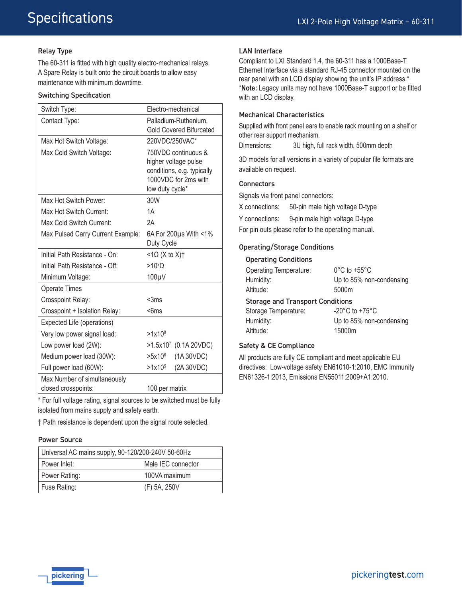#### Relay Type

The 60-311 is fitted with high quality electro-mechanical relays. A Spare Relay is built onto the circuit boards to allow easy maintenance with minimum downtime.

#### Switching Specification

| Switch Type:                                        | Electro-mechanical                                                                                                   |  |
|-----------------------------------------------------|----------------------------------------------------------------------------------------------------------------------|--|
| Contact Type:                                       | Palladium-Ruthenium,<br><b>Gold Covered Bifurcated</b>                                                               |  |
| Max Hot Switch Voltage:                             | 220VDC/250VAC*                                                                                                       |  |
| Max Cold Switch Voltage:                            | 750VDC continuous &<br>higher voltage pulse<br>conditions, e.g. typically<br>1000VDC for 2ms with<br>low duty cycle* |  |
| Max Hot Switch Power:                               | 30W                                                                                                                  |  |
| Max Hot Switch Current:                             | 1A                                                                                                                   |  |
| Max Cold Switch Current:                            | 2A                                                                                                                   |  |
| Max Pulsed Carry Current Example:                   | 6A For 200 $\mu$ s With <1%<br>Duty Cycle                                                                            |  |
| Initial Path Resistance - On:                       | $<$ 1 $\Omega$ (X to X)†                                                                                             |  |
| Initial Path Resistance - Off:                      | $>10^{9}$ O                                                                                                          |  |
| Minimum Voltage:                                    | 100µV                                                                                                                |  |
| <b>Operate Times</b>                                |                                                                                                                      |  |
| Crosspoint Relay:                                   | $<$ 3ms                                                                                                              |  |
| Crosspoint + Isolation Relay:                       | $<$ 6ms                                                                                                              |  |
| Expected Life (operations)                          |                                                                                                                      |  |
| Very low power signal load:                         | $>1x10^8$                                                                                                            |  |
| Low power load (2W):                                | $>1.5x10^7$ (0.1A 20VDC)                                                                                             |  |
| Medium power load (30W):                            | (1A 30VDC)<br>$>5x10^6$                                                                                              |  |
| Full power load (60W):                              | (2A 30VDC)<br>$>1x10^5$                                                                                              |  |
| Max Number of simultaneously<br>closed crosspoints: | 100 per matrix                                                                                                       |  |

\* For full voltage rating, signal sources to be switched must be fully isolated from mains supply and safety earth.

† Path resistance is dependent upon the signal route selected.

#### Power Source

| Universal AC mains supply, 90-120/200-240V 50-60Hz |                    |
|----------------------------------------------------|--------------------|
| Power Inlet:                                       | Male IEC connector |
| Power Rating:                                      | 100VA maximum      |
| Fuse Rating:                                       | (F) 5A, 250V       |

#### LAN Interface

Compliant to LXI Standard 1.4, the 60-311 has a 1000Base-T Ethernet Interface via a standard RJ-45 connector mounted on the rear panel with an LCD display showing the unit's IP address.\* \***Note:** Legacy units may not have 1000Base-T support or be fitted with an LCD display.

#### Mechanical Characteristics

Supplied with front panel ears to enable rack mounting on a shelf or other rear support mechanism.

Dimensions: 3U high, full rack width, 500mm depth

3D models for all versions in a variety of popular file formats are available on request.

#### **Connectors**

Signals via front panel connectors:

X connections: 50-pin male high voltage D-type

Y connections: 9-pin male high voltage D-type

For pin outs please refer to the operating manual.

#### Operating/Storage Conditions

#### Operating Conditions

| <b>Operating Temperature:</b>           | $0^{\circ}$ C to +55 $^{\circ}$ C  |  |
|-----------------------------------------|------------------------------------|--|
| Humidity:                               | Up to 85% non-condensing           |  |
| Altitude:                               | 5000m                              |  |
| <b>Storage and Transport Conditions</b> |                                    |  |
| Storage Temperature:                    | $-20^{\circ}$ C to $+75^{\circ}$ C |  |
| Humidity:                               | Up to 85% non-condensing           |  |
| Altitude:                               | 15000m                             |  |

#### Safety & CE Compliance

All products are fully CE compliant and meet applicable EU directives: Low-voltage safety EN61010-1:2010, EMC Immunity EN61326-1:2013, Emissions EN55011:2009+A1:2010.

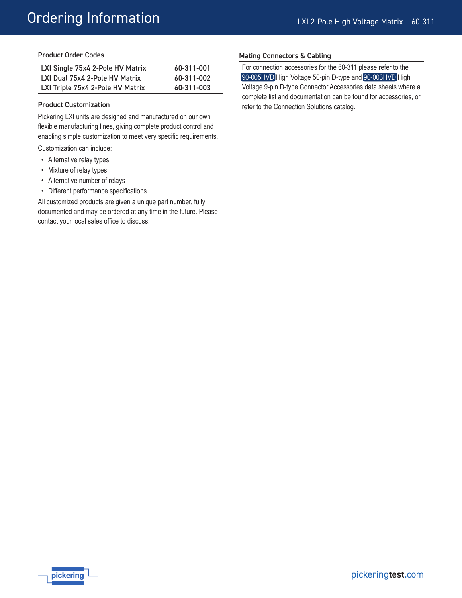# Ordering Information

#### Product Order Codes

| LXI Single 75x4 2-Pole HV Matrix | 60-311-001 |
|----------------------------------|------------|
| LXI Dual 75x4 2-Pole HV Matrix   | 60-311-002 |
| LXI Triple 75x4 2-Pole HV Matrix | 60-311-003 |

#### Product Customization

Pickering LXI units are designed and manufactured on our own flexible manufacturing lines, giving complete product control and enabling simple customization to meet very specific requirements.

Customization can include:

- Alternative relay types
- Mixture of relay types
- Alternative number of relays
- Different performance specifications

All customized products are given a unique part number, fully documented and may be ordered at any time in the future. Please contact your local sales office to discuss.

#### Mating Connectors & Cabling

For connection accessories for the 60-311 please refer to the [90-005HVD](http://www.pickeringtest.com/content/downloads/datasheets/90-005HVD.pdf) High Voltage 50-pin D-type and [90-003HVD](http://www.pickeringtest.com/content/downloads/datasheets/90-003HVD.pdf) High Voltage 9-pin D-type Connector Accessories data sheets where a complete list and documentation can be found for accessories, or refer to the Connection Solutions catalog.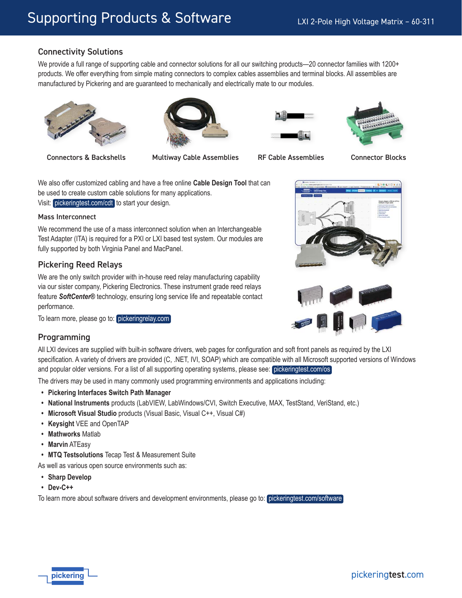# Connectivity Solutions

We provide a full range of supporting cable and connector solutions for all our switching products—20 connector families with 1200+ products. We offer everything from simple mating connectors to complex cables assemblies and terminal blocks. All assemblies are manufactured by Pickering and are guaranteed to mechanically and electrically mate to our modules.











We also offer customized cabling and have a free online **Cable Design Tool** that can be used to create custom cable solutions for many applications. Visit: [pickeringtest.com/cdt](http://www.pickeringtest.com/cdt) to start your design.

#### Mass Interconnect

We recommend the use of a mass interconnect solution when an Interchangeable Test Adapter (ITA) is required for a PXI or LXI based test system. Our modules are fully supported by both Virginia Panel and MacPanel.

# Pickering Reed Relays

We are the only switch provider with in-house reed relay manufacturing capability via our sister company, Pickering Electronics. These instrument grade reed relays feature *SoftCenter®* technology, ensuring long service life and repeatable contact performance.

To learn more, please go to: [pickeringrelay.com](http://www.pickeringrelay.com)

### Programming

All LXI devices are supplied with built-in software drivers, web pages for configuration and soft front panels as required by the LXI specification. A variety of drivers are provided (C, .NET, IVI, SOAP) which are compatible with all Microsoft supported versions of Windows and popular older versions. For a list of all supporting operating systems, please see: [pickeringtest.com/os](http://www.pickeringtest.com/os)

The drivers may be used in many commonly used programming environments and applications including:

- **• Pickering Interfaces Switch Path Manager**
- **• National Instruments** products (LabVIEW, LabWindows/CVI, Switch Executive, MAX, TestStand, VeriStand, etc.)
- **• Microsoft Visual Studio** products (Visual Basic, Visual C++, Visual C#)
- **• Keysight** VEE and OpenTAP
- **• Mathworks** Matlab
- **• Marvin** ATEasy
- **• MTQ Testsolutions** Tecap Test & Measurement Suite

As well as various open source environments such as:

- **• Sharp Develop**
- **• Dev-C++**

To learn more about software drivers and development environments, please go to: [pickeringtest.com/software](http://www.pickeringtest.com/software)